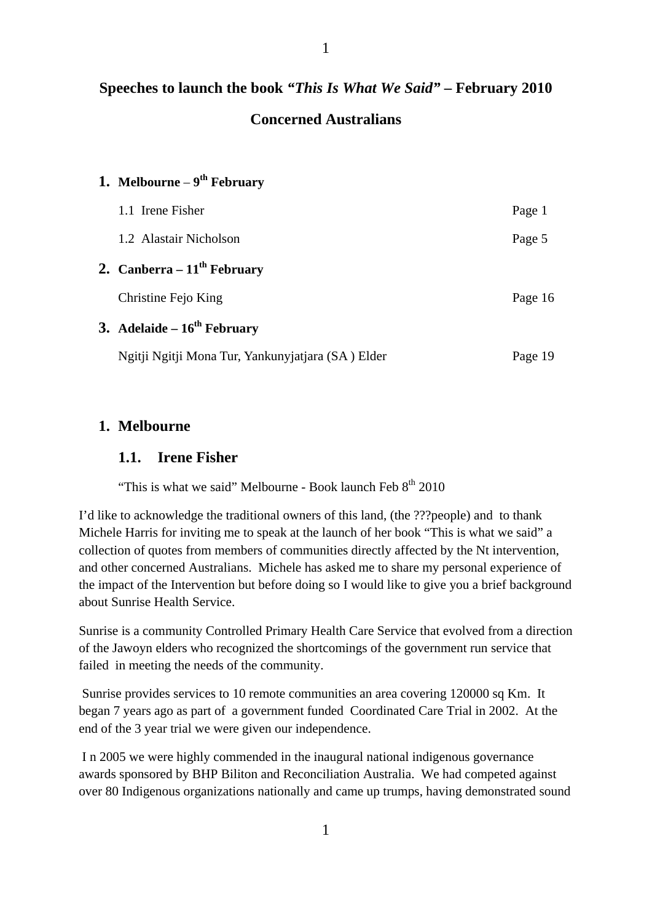# **Speeches to launch the book** *"This Is What We Said"* **– February 2010 Concerned Australians**

| 1. Melbourne – $9^{th}$ February                  |         |
|---------------------------------------------------|---------|
| 1.1 Irene Fisher                                  | Page 1  |
| 1.2 Alastair Nicholson                            | Page 5  |
| 2. Canberra – $11^{th}$ February                  |         |
| Christine Fejo King                               | Page 16 |
| 3. Adelaide – $16^{th}$ February                  |         |
| Ngitji Ngitji Mona Tur, Yankunyjatjara (SA) Elder | Page 19 |

## **1. Melbourne**

#### **1.1. Irene Fisher**

"This is what we said" Melbourne - Book launch Feb  $8<sup>th</sup>$  2010

I'd like to acknowledge the traditional owners of this land, (the ???people) and to thank Michele Harris for inviting me to speak at the launch of her book "This is what we said" a collection of quotes from members of communities directly affected by the Nt intervention, and other concerned Australians. Michele has asked me to share my personal experience of the impact of the Intervention but before doing so I would like to give you a brief background about Sunrise Health Service.

Sunrise is a community Controlled Primary Health Care Service that evolved from a direction of the Jawoyn elders who recognized the shortcomings of the government run service that failed in meeting the needs of the community.

 Sunrise provides services to 10 remote communities an area covering 120000 sq Km. It began 7 years ago as part of a government funded Coordinated Care Trial in 2002. At the end of the 3 year trial we were given our independence.

 I n 2005 we were highly commended in the inaugural national indigenous governance awards sponsored by BHP Biliton and Reconciliation Australia. We had competed against over 80 Indigenous organizations nationally and came up trumps, having demonstrated sound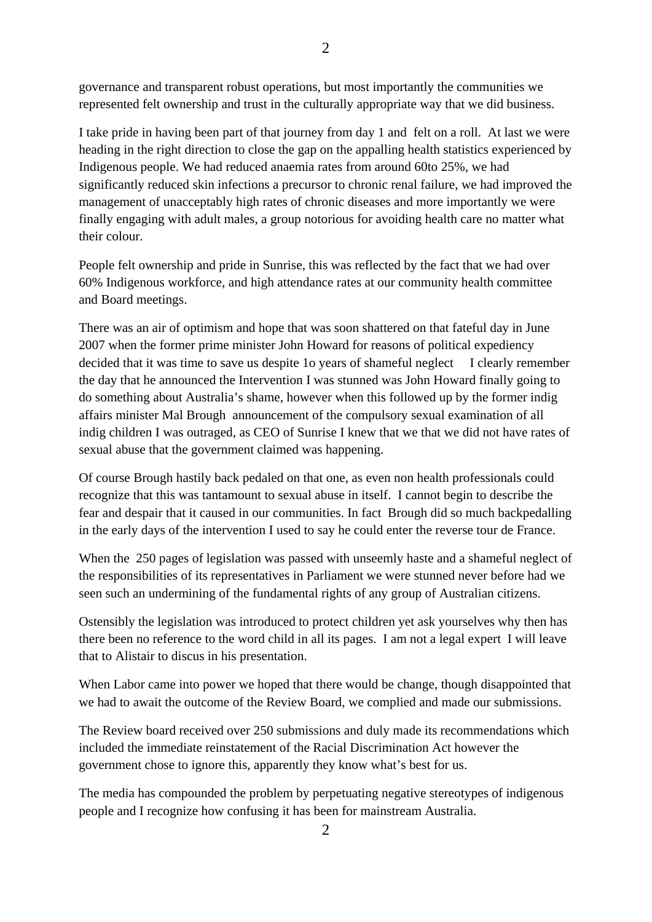governance and transparent robust operations, but most importantly the communities we represented felt ownership and trust in the culturally appropriate way that we did business.

I take pride in having been part of that journey from day 1 and felt on a roll. At last we were heading in the right direction to close the gap on the appalling health statistics experienced by Indigenous people. We had reduced anaemia rates from around 60to 25%, we had significantly reduced skin infections a precursor to chronic renal failure, we had improved the management of unacceptably high rates of chronic diseases and more importantly we were finally engaging with adult males, a group notorious for avoiding health care no matter what their colour.

People felt ownership and pride in Sunrise, this was reflected by the fact that we had over 60% Indigenous workforce, and high attendance rates at our community health committee and Board meetings.

There was an air of optimism and hope that was soon shattered on that fateful day in June 2007 when the former prime minister John Howard for reasons of political expediency decided that it was time to save us despite 1o years of shameful neglect I clearly remember the day that he announced the Intervention I was stunned was John Howard finally going to do something about Australia's shame, however when this followed up by the former indig affairs minister Mal Brough announcement of the compulsory sexual examination of all indig children I was outraged, as CEO of Sunrise I knew that we that we did not have rates of sexual abuse that the government claimed was happening.

Of course Brough hastily back pedaled on that one, as even non health professionals could recognize that this was tantamount to sexual abuse in itself. I cannot begin to describe the fear and despair that it caused in our communities. In fact Brough did so much backpedalling in the early days of the intervention I used to say he could enter the reverse tour de France.

When the 250 pages of legislation was passed with unseemly haste and a shameful neglect of the responsibilities of its representatives in Parliament we were stunned never before had we seen such an undermining of the fundamental rights of any group of Australian citizens.

Ostensibly the legislation was introduced to protect children yet ask yourselves why then has there been no reference to the word child in all its pages. I am not a legal expert I will leave that to Alistair to discus in his presentation.

When Labor came into power we hoped that there would be change, though disappointed that we had to await the outcome of the Review Board, we complied and made our submissions.

The Review board received over 250 submissions and duly made its recommendations which included the immediate reinstatement of the Racial Discrimination Act however the government chose to ignore this, apparently they know what's best for us.

The media has compounded the problem by perpetuating negative stereotypes of indigenous people and I recognize how confusing it has been for mainstream Australia.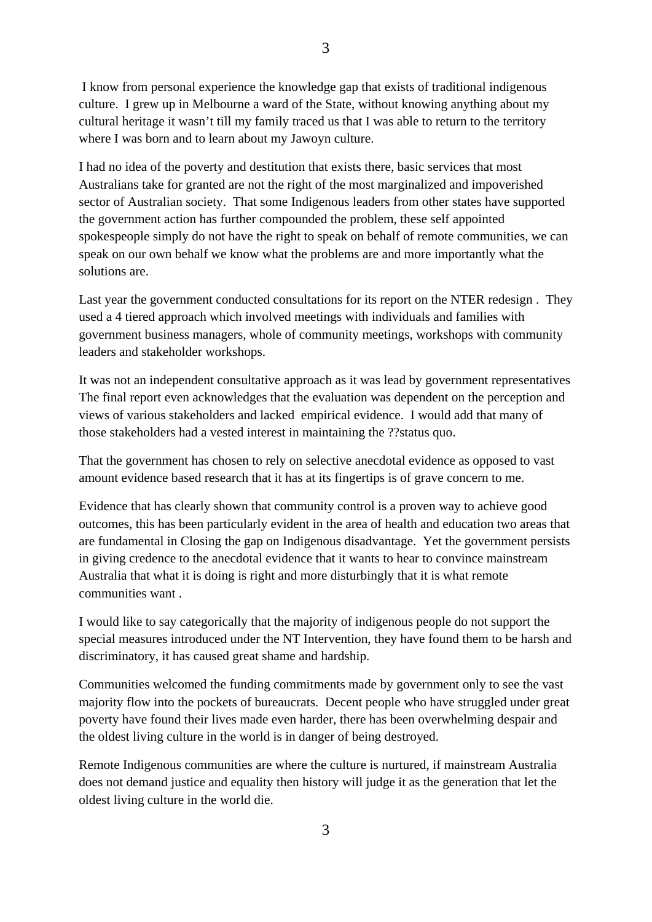I know from personal experience the knowledge gap that exists of traditional indigenous culture. I grew up in Melbourne a ward of the State, without knowing anything about my cultural heritage it wasn't till my family traced us that I was able to return to the territory where I was born and to learn about my Jawoyn culture.

I had no idea of the poverty and destitution that exists there, basic services that most Australians take for granted are not the right of the most marginalized and impoverished sector of Australian society. That some Indigenous leaders from other states have supported the government action has further compounded the problem, these self appointed spokespeople simply do not have the right to speak on behalf of remote communities, we can speak on our own behalf we know what the problems are and more importantly what the solutions are.

Last year the government conducted consultations for its report on the NTER redesign . They used a 4 tiered approach which involved meetings with individuals and families with government business managers, whole of community meetings, workshops with community leaders and stakeholder workshops.

It was not an independent consultative approach as it was lead by government representatives The final report even acknowledges that the evaluation was dependent on the perception and views of various stakeholders and lacked empirical evidence. I would add that many of those stakeholders had a vested interest in maintaining the ??status quo.

That the government has chosen to rely on selective anecdotal evidence as opposed to vast amount evidence based research that it has at its fingertips is of grave concern to me.

Evidence that has clearly shown that community control is a proven way to achieve good outcomes, this has been particularly evident in the area of health and education two areas that are fundamental in Closing the gap on Indigenous disadvantage. Yet the government persists in giving credence to the anecdotal evidence that it wants to hear to convince mainstream Australia that what it is doing is right and more disturbingly that it is what remote communities want .

I would like to say categorically that the majority of indigenous people do not support the special measures introduced under the NT Intervention, they have found them to be harsh and discriminatory, it has caused great shame and hardship.

Communities welcomed the funding commitments made by government only to see the vast majority flow into the pockets of bureaucrats. Decent people who have struggled under great poverty have found their lives made even harder, there has been overwhelming despair and the oldest living culture in the world is in danger of being destroyed.

Remote Indigenous communities are where the culture is nurtured, if mainstream Australia does not demand justice and equality then history will judge it as the generation that let the oldest living culture in the world die.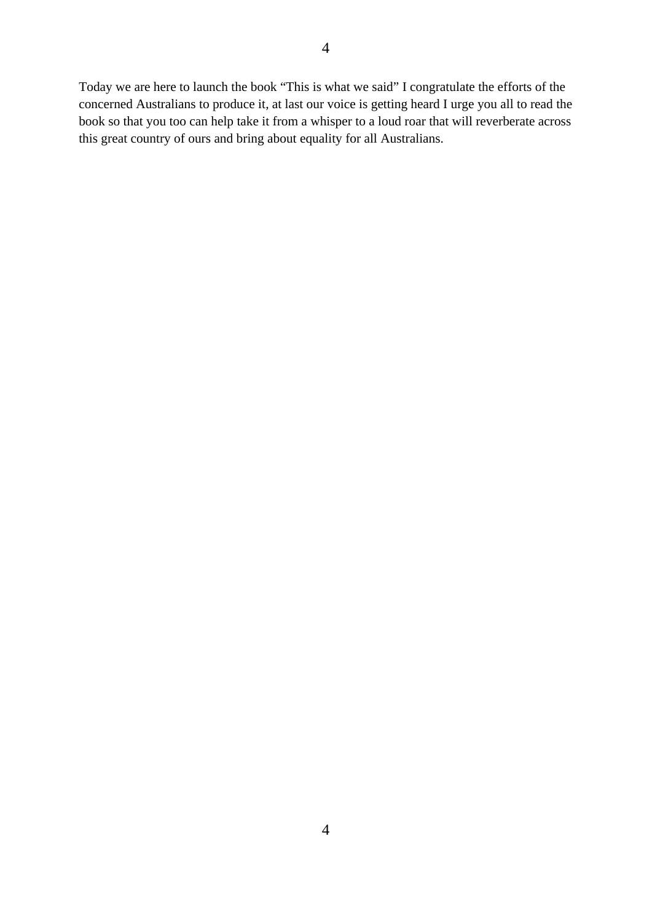Today we are here to launch the book "This is what we said" I congratulate the efforts of the concerned Australians to produce it, at last our voice is getting heard I urge you all to read the book so that you too can help take it from a whisper to a loud roar that will reverberate across this great country of ours and bring about equality for all Australians.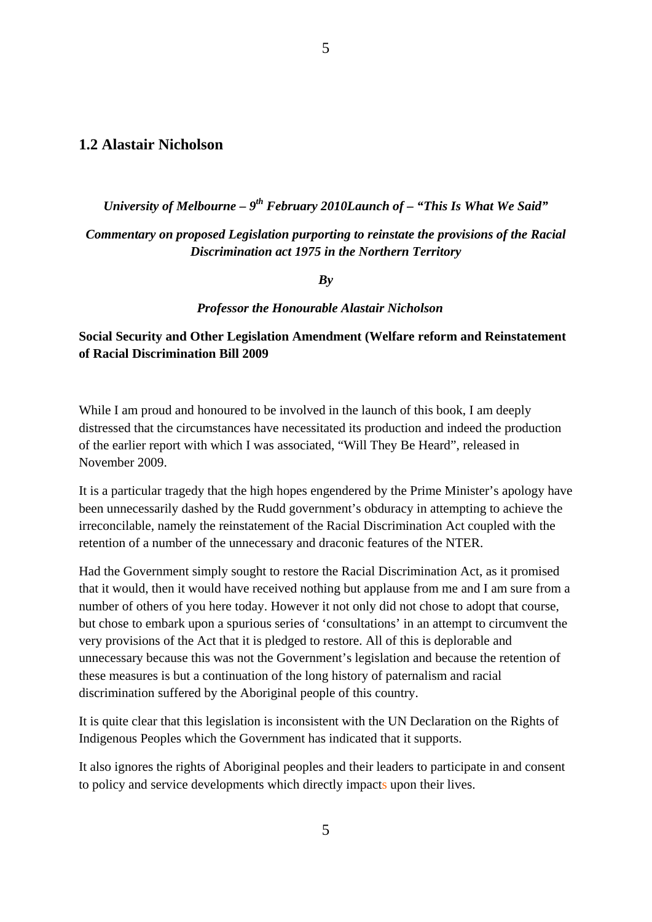#### **1.2 Alastair Nicholson**

*University of Melbourne – 9th February 2010Launch of – "This Is What We Said"* 

5

#### *Commentary on proposed Legislation purporting to reinstate the provisions of the Racial Discrimination act 1975 in the Northern Territory*

*By* 

#### *Professor the Honourable Alastair Nicholson*

#### **Social Security and Other Legislation Amendment (Welfare reform and Reinstatement of Racial Discrimination Bill 2009**

While I am proud and honoured to be involved in the launch of this book, I am deeply distressed that the circumstances have necessitated its production and indeed the production of the earlier report with which I was associated, "Will They Be Heard", released in November 2009.

It is a particular tragedy that the high hopes engendered by the Prime Minister's apology have been unnecessarily dashed by the Rudd government's obduracy in attempting to achieve the irreconcilable, namely the reinstatement of the Racial Discrimination Act coupled with the retention of a number of the unnecessary and draconic features of the NTER.

Had the Government simply sought to restore the Racial Discrimination Act, as it promised that it would, then it would have received nothing but applause from me and I am sure from a number of others of you here today. However it not only did not chose to adopt that course, but chose to embark upon a spurious series of 'consultations' in an attempt to circumvent the very provisions of the Act that it is pledged to restore. All of this is deplorable and unnecessary because this was not the Government's legislation and because the retention of these measures is but a continuation of the long history of paternalism and racial discrimination suffered by the Aboriginal people of this country.

It is quite clear that this legislation is inconsistent with the UN Declaration on the Rights of Indigenous Peoples which the Government has indicated that it supports.

It also ignores the rights of Aboriginal peoples and their leaders to participate in and consent to policy and service developments which directly impacts upon their lives.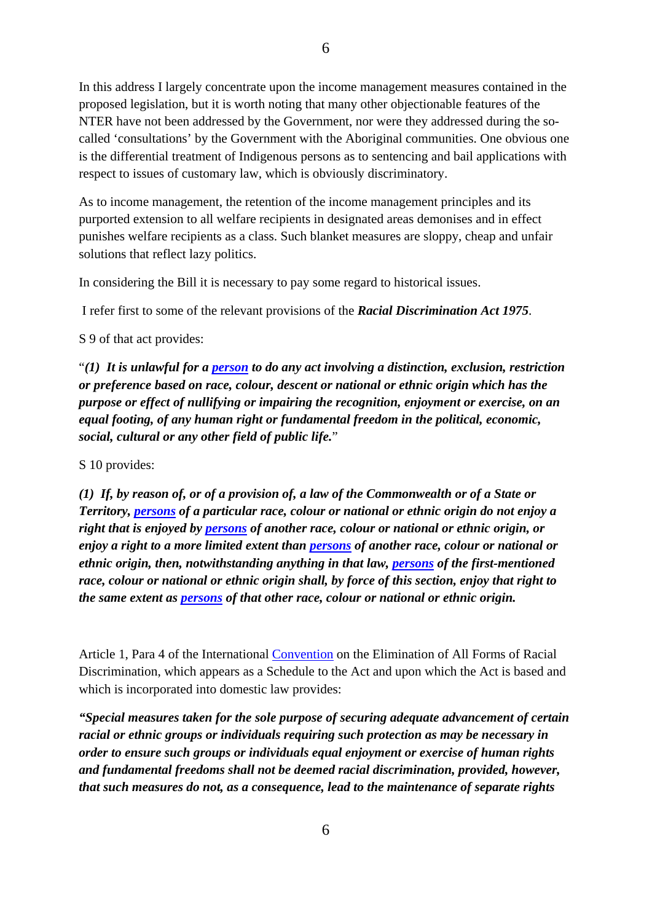In this address I largely concentrate upon the income management measures contained in the proposed legislation, but it is worth noting that many other objectionable features of the NTER have not been addressed by the Government, nor were they addressed during the socalled 'consultations' by the Government with the Aboriginal communities. One obvious one is the differential treatment of Indigenous persons as to sentencing and bail applications with respect to issues of customary law, which is obviously discriminatory.

As to income management, the retention of the income management principles and its purported extension to all welfare recipients in designated areas demonises and in effect punishes welfare recipients as a class. Such blanket measures are sloppy, cheap and unfair solutions that reflect lazy politics.

In considering the Bill it is necessary to pay some regard to historical issues.

I refer first to some of the relevant provisions of the *Racial Discrimination Act 1975*.

S 9 of that act provides:

"*(1) It is unlawful for a [person](http://www.austlii.edu.au/au/legis/cth/consol_act/rda1975202/s5.html#person) to do any act involving a distinction, exclusion, restriction or preference based on race, colour, descent or national or ethnic origin which has the purpose or effect of nullifying or impairing the recognition, enjoyment or exercise, on an equal footing, of any human right or fundamental freedom in the political, economic, social, cultural or any other field of public life.*"

S 10 provides:

*(1) If, by reason of, or of a provision of, a law of the Commonwealth or of a State or Territory, [persons](http://www.austlii.edu.au/au/legis/cth/consol_act/rda1975202/s5.html#person) of a particular race, colour or national or ethnic origin do not enjoy a right that is enjoyed by [persons](http://www.austlii.edu.au/au/legis/cth/consol_act/rda1975202/s5.html#person) of another race, colour or national or ethnic origin, or enjoy a right to a more limited extent than [persons](http://www.austlii.edu.au/au/legis/cth/consol_act/rda1975202/s5.html#person) of another race, colour or national or ethnic origin, then, notwithstanding anything in that law, [persons](http://www.austlii.edu.au/au/legis/cth/consol_act/rda1975202/s5.html#person) of the first-mentioned race, colour or national or ethnic origin shall, by force of this section, enjoy that right to the same extent as [persons](http://www.austlii.edu.au/au/legis/cth/consol_act/rda1975202/s5.html#person) of that other race, colour or national or ethnic origin.* 

Article 1, Para 4 of the International [Convention](http://www.austlii.edu.au/au/legis/cth/consol_act/rda1975202/s3.html#convention) on the Elimination of All Forms of Racial Discrimination, which appears as a Schedule to the Act and upon which the Act is based and which is incorporated into domestic law provides:

*"Special measures taken for the sole purpose of securing adequate advancement of certain racial or ethnic groups or individuals requiring such protection as may be necessary in order to ensure such groups or individuals equal enjoyment or exercise of human rights and fundamental freedoms shall not be deemed racial discrimination, provided, however, that such measures do not, as a consequence, lead to the maintenance of separate rights*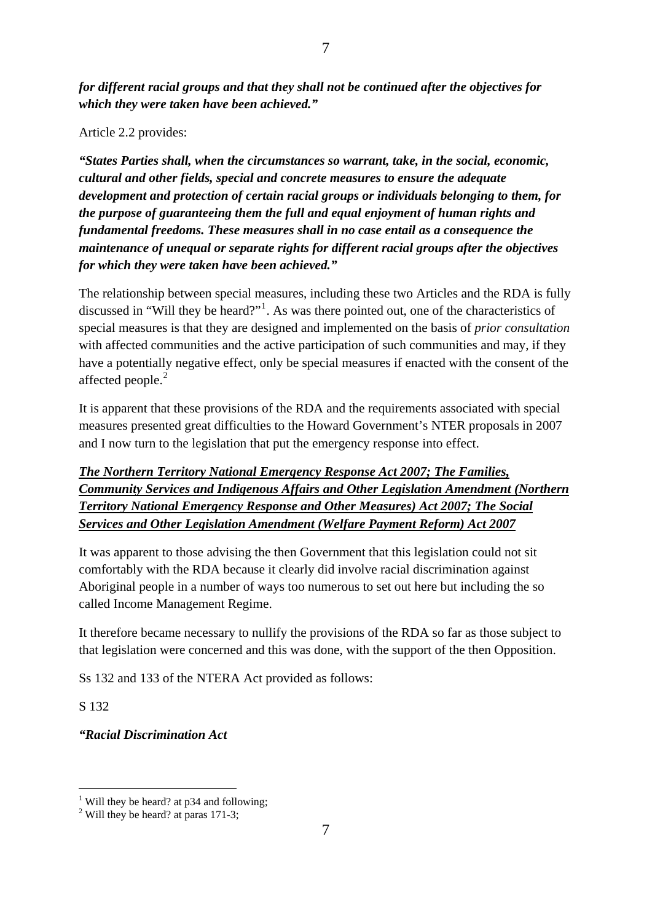*for different racial groups and that they shall not be continued after the objectives for which they were taken have been achieved."* 

#### Article 2.2 provides:

*"States Parties shall, when the circumstances so warrant, take, in the social, economic, cultural and other fields, special and concrete measures to ensure the adequate development and protection of certain racial groups or individuals belonging to them, for the purpose of guaranteeing them the full and equal enjoyment of human rights and fundamental freedoms. These measures shall in no case entail as a consequence the maintenance of unequal or separate rights for different racial groups after the objectives for which they were taken have been achieved."* 

The relationship between special measures, including these two Articles and the RDA is fully discussed in "Will they be heard?"<sup>[1](#page-6-0)</sup>. As was there pointed out, one of the characteristics of special measures is that they are designed and implemented on the basis of *prior consultation* with affected communities and the active participation of such communities and may, if they have a potentially negative effect, only be special measures if enacted with the consent of the affected people.<sup>[2](#page-6-1)</sup>

It is apparent that these provisions of the RDA and the requirements associated with special measures presented great difficulties to the Howard Government's NTER proposals in 2007 and I now turn to the legislation that put the emergency response into effect.

*The Northern Territory National Emergency Response Act 2007; The Families, Community Services and Indigenous Affairs and Other Legislation Amendment (Northern Territory National Emergency Response and Other Measures) Act 2007; The Social Services and Other Legislation Amendment (Welfare Payment Reform) Act 2007*

It was apparent to those advising the then Government that this legislation could not sit comfortably with the RDA because it clearly did involve racial discrimination against Aboriginal people in a number of ways too numerous to set out here but including the so called Income Management Regime.

It therefore became necessary to nullify the provisions of the RDA so far as those subject to that legislation were concerned and this was done, with the support of the then Opposition.

Ss 132 and 133 of the NTERA Act provided as follows:

S 132

-

*"Racial Discrimination Act* 

<span id="page-6-0"></span><sup>&</sup>lt;sup>1</sup> Will they be heard? at p34 and following;

<span id="page-6-1"></span><sup>&</sup>lt;sup>2</sup> Will they be heard? at paras 171-3;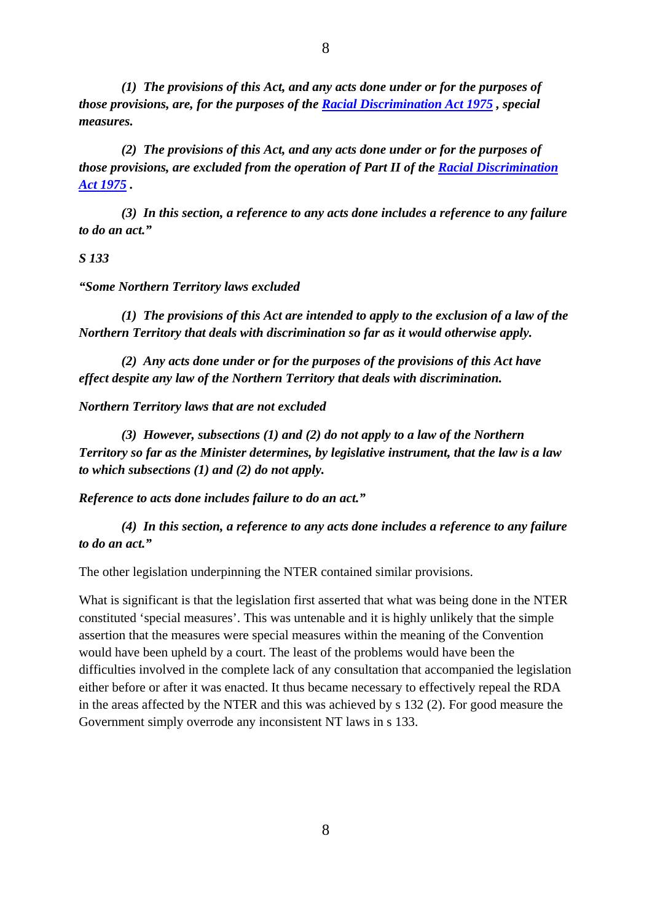*(1) The provisions of this Act, and any acts done under or for the purposes of those provisions, are, for the purposes of the [Racial Discrimination Act 1975](http://www.austlii.edu.au/au/legis/cth/consol_act/rda1975202/) , special measures.* 

 *(2) The provisions of this Act, and any acts done under or for the purposes of those provisions, are excluded from the operation of Part II of the [Racial Discrimination](http://www.austlii.edu.au/au/legis/cth/consol_act/rda1975202/)  [Act 1975](http://www.austlii.edu.au/au/legis/cth/consol_act/rda1975202/) .* 

 *(3) In this section, a reference to any acts done includes a reference to any failure to do an act."* 

#### *S 133*

#### *"Some Northern Territory laws excluded*

 *(1) The provisions of this Act are intended to apply to the exclusion of a law of the Northern Territory that deals with discrimination so far as it would otherwise apply.* 

 *(2) Any acts done under or for the purposes of the provisions of this Act have effect despite any law of the Northern Territory that deals with discrimination.* 

*Northern Territory laws that are not excluded* 

 *(3) However, subsections (1) and (2) do not apply to a law of the Northern Territory so far as the Minister determines, by legislative instrument, that the law is a law to which subsections (1) and (2) do not apply.* 

*Reference to acts done includes failure to do an act."* 

 *(4) In this section, a reference to any acts done includes a reference to any failure to do an act."* 

The other legislation underpinning the NTER contained similar provisions.

What is significant is that the legislation first asserted that what was being done in the NTER constituted 'special measures'. This was untenable and it is highly unlikely that the simple assertion that the measures were special measures within the meaning of the Convention would have been upheld by a court. The least of the problems would have been the difficulties involved in the complete lack of any consultation that accompanied the legislation either before or after it was enacted. It thus became necessary to effectively repeal the RDA in the areas affected by the NTER and this was achieved by s 132 (2). For good measure the Government simply overrode any inconsistent NT laws in s 133.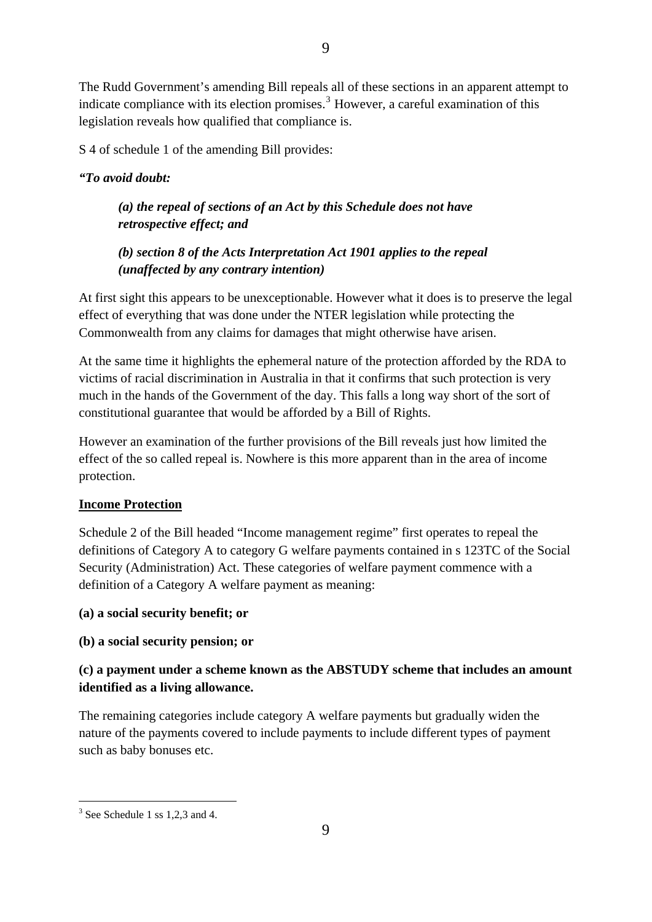The Rudd Government's amending Bill repeals all of these sections in an apparent attempt to indicate compliance with its election promises.<sup>[3](#page-8-0)</sup> However, a careful examination of this legislation reveals how qualified that compliance is.

S 4 of schedule 1 of the amending Bill provides:

#### *"To avoid doubt:*

## *(a) the repeal of sections of an Act by this Schedule does not have retrospective effect; and*

## *(b) section 8 of the Acts Interpretation Act 1901 applies to the repeal (unaffected by any contrary intention)*

At first sight this appears to be unexceptionable. However what it does is to preserve the legal effect of everything that was done under the NTER legislation while protecting the Commonwealth from any claims for damages that might otherwise have arisen.

At the same time it highlights the ephemeral nature of the protection afforded by the RDA to victims of racial discrimination in Australia in that it confirms that such protection is very much in the hands of the Government of the day. This falls a long way short of the sort of constitutional guarantee that would be afforded by a Bill of Rights.

However an examination of the further provisions of the Bill reveals just how limited the effect of the so called repeal is. Nowhere is this more apparent than in the area of income protection.

#### **Income Protection**

Schedule 2 of the Bill headed "Income management regime" first operates to repeal the definitions of Category A to category G welfare payments contained in s 123TC of the Social Security (Administration) Act. These categories of welfare payment commence with a definition of a Category A welfare payment as meaning:

#### **(a) a social security benefit; or**

## **(b) a social security pension; or**

## **(c) a payment under a scheme known as the ABSTUDY scheme that includes an amount identified as a living allowance.**

The remaining categories include category A welfare payments but gradually widen the nature of the payments covered to include payments to include different types of payment such as baby bonuses etc.

 $\overline{a}$ 

<span id="page-8-0"></span><sup>&</sup>lt;sup>3</sup> See Schedule 1 ss 1,2,3 and 4.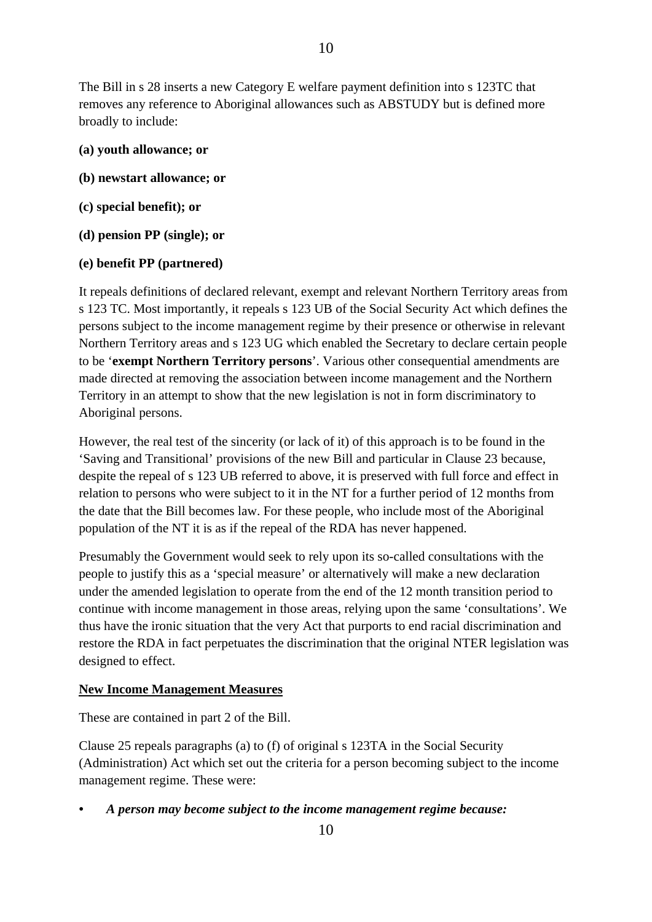The Bill in s 28 inserts a new Category E welfare payment definition into s 123TC that removes any reference to Aboriginal allowances such as ABSTUDY but is defined more broadly to include:

- **(a) youth allowance; or**
- **(b) newstart allowance; or**
- **(c) special benefit); or**
- **(d) pension PP (single); or**
- **(e) benefit PP (partnered)**

It repeals definitions of declared relevant, exempt and relevant Northern Territory areas from s 123 TC. Most importantly, it repeals s 123 UB of the Social Security Act which defines the persons subject to the income management regime by their presence or otherwise in relevant Northern Territory areas and s 123 UG which enabled the Secretary to declare certain people to be '**exempt Northern Territory persons**'. Various other consequential amendments are made directed at removing the association between income management and the Northern Territory in an attempt to show that the new legislation is not in form discriminatory to Aboriginal persons.

However, the real test of the sincerity (or lack of it) of this approach is to be found in the 'Saving and Transitional' provisions of the new Bill and particular in Clause 23 because, despite the repeal of s 123 UB referred to above, it is preserved with full force and effect in relation to persons who were subject to it in the NT for a further period of 12 months from the date that the Bill becomes law. For these people, who include most of the Aboriginal population of the NT it is as if the repeal of the RDA has never happened.

Presumably the Government would seek to rely upon its so-called consultations with the people to justify this as a 'special measure' or alternatively will make a new declaration under the amended legislation to operate from the end of the 12 month transition period to continue with income management in those areas, relying upon the same 'consultations'. We thus have the ironic situation that the very Act that purports to end racial discrimination and restore the RDA in fact perpetuates the discrimination that the original NTER legislation was designed to effect.

#### **New Income Management Measures**

These are contained in part 2 of the Bill.

Clause 25 repeals paragraphs (a) to (f) of original s 123TA in the Social Security (Administration) Act which set out the criteria for a person becoming subject to the income management regime. These were:

*• A person may become subject to the income management regime because:*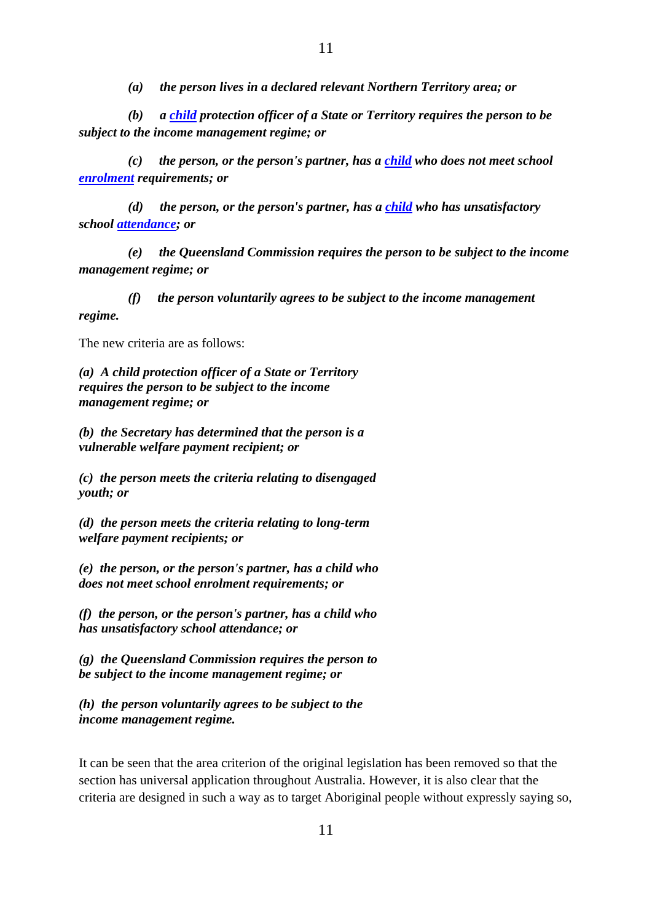*(a) the person lives in a declared relevant Northern Territory area; or* 

 *(b) a [child](http://www.austlii.edu.au/au/legis/cth/consol_act/ssa1999338/s123tc.html#child) protection officer of a State or Territory requires the person to be subject to the income management regime; or* 

 *(c) the person, or the person's partner, has a [child](http://www.austlii.edu.au/au/legis/cth/consol_act/ssa1999338/s123tc.html#child) who does not meet school [enrolment](http://www.austlii.edu.au/au/legis/cth/consol_act/ssa1999338/s124a.html#enrolment) requirements; or* 

 *(d) the person, or the person's partner, has a [child](http://www.austlii.edu.au/au/legis/cth/consol_act/ssa1999338/s123tc.html#child) who has unsatisfactory school [attendance;](http://www.austlii.edu.au/au/legis/cth/consol_act/ssa1999338/s124a.html#attendance) or* 

 *(e) the Queensland Commission requires the person to be subject to the income management regime; or* 

 *(f) the person voluntarily agrees to be subject to the income management regime.* 

The new criteria are as follows:

*(a) A child protection officer of a State or Territory requires the person to be subject to the income management regime; or* 

*(b) the Secretary has determined that the person is a vulnerable welfare payment recipient; or* 

*(c) the person meets the criteria relating to disengaged youth; or* 

*(d) the person meets the criteria relating to long-term welfare payment recipients; or* 

*(e) the person, or the person's partner, has a child who does not meet school enrolment requirements; or* 

*(f) the person, or the person's partner, has a child who has unsatisfactory school attendance; or* 

*(g) the Queensland Commission requires the person to be subject to the income management regime; or* 

*(h) the person voluntarily agrees to be subject to the income management regime.* 

It can be seen that the area criterion of the original legislation has been removed so that the section has universal application throughout Australia. However, it is also clear that the criteria are designed in such a way as to target Aboriginal people without expressly saying so,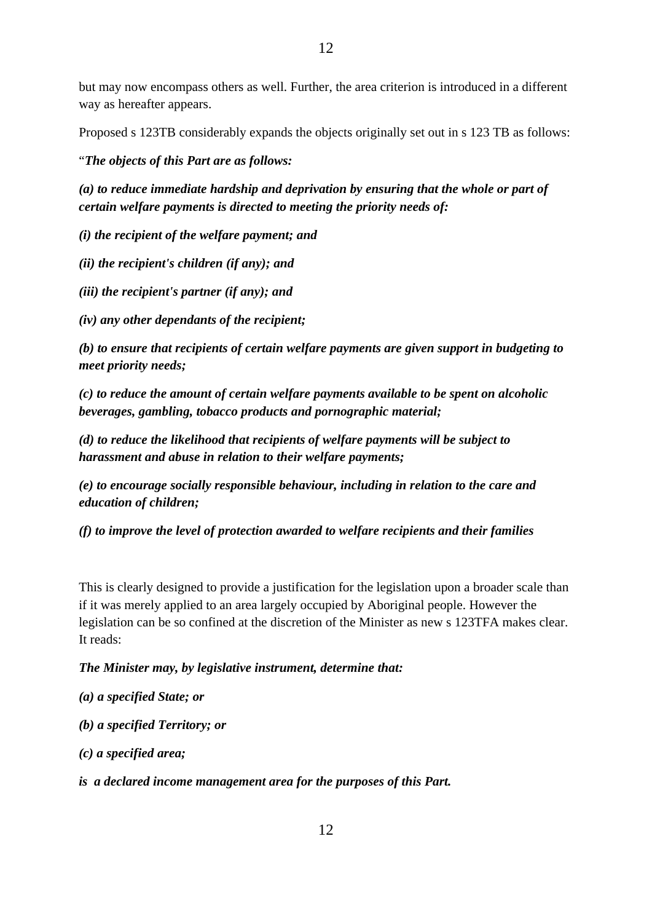but may now encompass others as well. Further, the area criterion is introduced in a different way as hereafter appears.

Proposed s 123TB considerably expands the objects originally set out in s 123 TB as follows:

"*The objects of this Part are as follows:* 

*(a) to reduce immediate hardship and deprivation by ensuring that the whole or part of certain welfare payments is directed to meeting the priority needs of:* 

*(i) the recipient of the welfare payment; and* 

*(ii) the recipient's children (if any); and* 

*(iii) the recipient's partner (if any); and* 

*(iv) any other dependants of the recipient;* 

*(b) to ensure that recipients of certain welfare payments are given support in budgeting to meet priority needs;* 

*(c) to reduce the amount of certain welfare payments available to be spent on alcoholic beverages, gambling, tobacco products and pornographic material;* 

*(d) to reduce the likelihood that recipients of welfare payments will be subject to harassment and abuse in relation to their welfare payments;* 

*(e) to encourage socially responsible behaviour, including in relation to the care and education of children;* 

*(f) to improve the level of protection awarded to welfare recipients and their families* 

This is clearly designed to provide a justification for the legislation upon a broader scale than if it was merely applied to an area largely occupied by Aboriginal people. However the legislation can be so confined at the discretion of the Minister as new s 123TFA makes clear. It reads:

*The Minister may, by legislative instrument, determine that:* 

*(a) a specified State; or* 

*(b) a specified Territory; or* 

*(c) a specified area;* 

*is a declared income management area for the purposes of this Part.*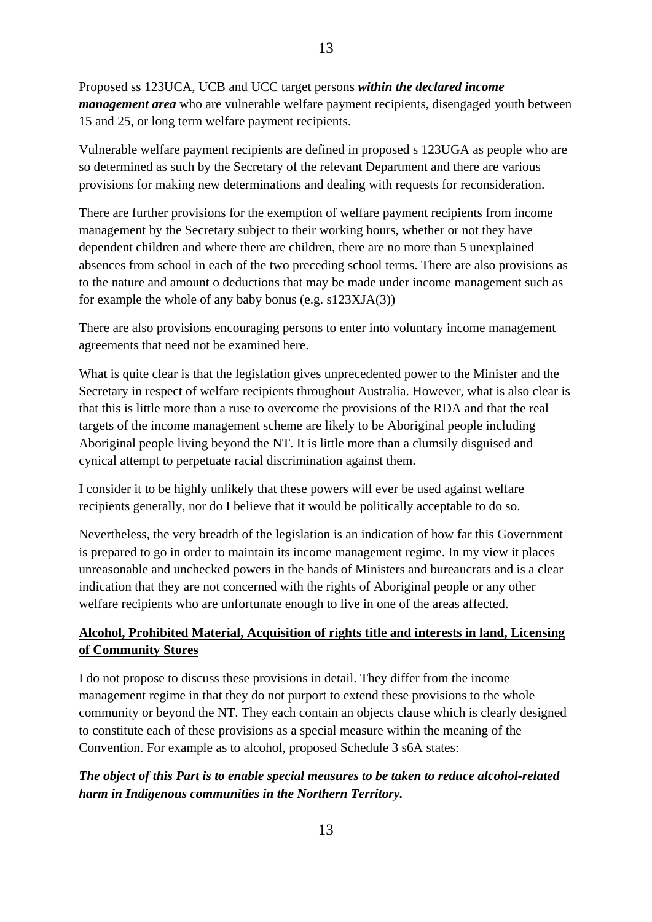Proposed ss 123UCA, UCB and UCC target persons *within the declared income management area* who are vulnerable welfare payment recipients, disengaged youth between 15 and 25, or long term welfare payment recipients.

Vulnerable welfare payment recipients are defined in proposed s 123UGA as people who are so determined as such by the Secretary of the relevant Department and there are various provisions for making new determinations and dealing with requests for reconsideration.

There are further provisions for the exemption of welfare payment recipients from income management by the Secretary subject to their working hours, whether or not they have dependent children and where there are children, there are no more than 5 unexplained absences from school in each of the two preceding school terms. There are also provisions as to the nature and amount o deductions that may be made under income management such as for example the whole of any baby bonus (e.g. s123XJA(3))

There are also provisions encouraging persons to enter into voluntary income management agreements that need not be examined here.

What is quite clear is that the legislation gives unprecedented power to the Minister and the Secretary in respect of welfare recipients throughout Australia. However, what is also clear is that this is little more than a ruse to overcome the provisions of the RDA and that the real targets of the income management scheme are likely to be Aboriginal people including Aboriginal people living beyond the NT. It is little more than a clumsily disguised and cynical attempt to perpetuate racial discrimination against them.

I consider it to be highly unlikely that these powers will ever be used against welfare recipients generally, nor do I believe that it would be politically acceptable to do so.

Nevertheless, the very breadth of the legislation is an indication of how far this Government is prepared to go in order to maintain its income management regime. In my view it places unreasonable and unchecked powers in the hands of Ministers and bureaucrats and is a clear indication that they are not concerned with the rights of Aboriginal people or any other welfare recipients who are unfortunate enough to live in one of the areas affected.

#### **Alcohol, Prohibited Material, Acquisition of rights title and interests in land, Licensing of Community Stores**

I do not propose to discuss these provisions in detail. They differ from the income management regime in that they do not purport to extend these provisions to the whole community or beyond the NT. They each contain an objects clause which is clearly designed to constitute each of these provisions as a special measure within the meaning of the Convention. For example as to alcohol, proposed Schedule 3 s6A states:

#### *The object of this Part is to enable special measures to be taken to reduce alcohol-related harm in Indigenous communities in the Northern Territory.*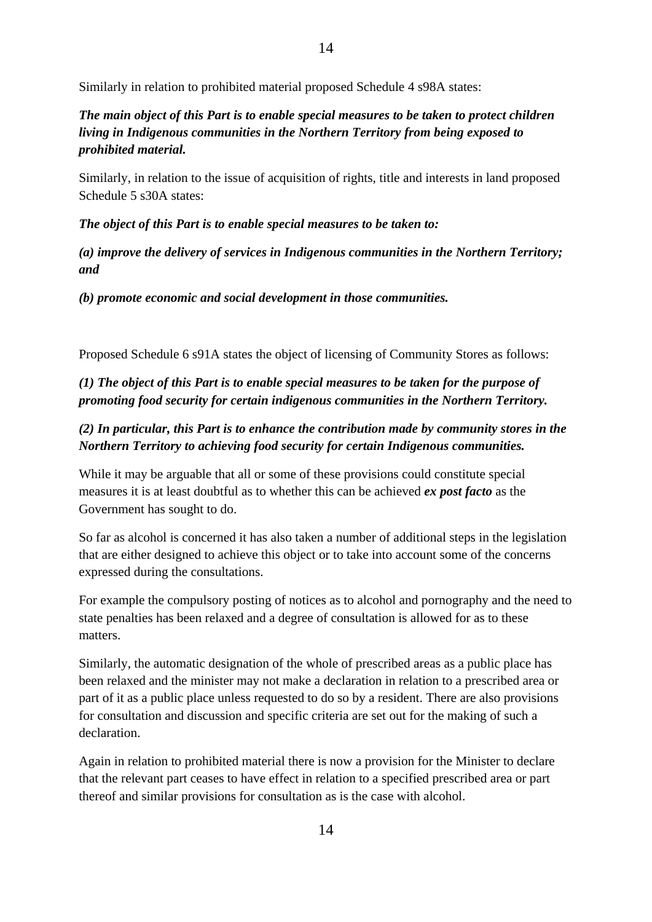### *The main object of this Part is to enable special measures to be taken to protect children living in Indigenous communities in the Northern Territory from being exposed to prohibited material.*

Similarly, in relation to the issue of acquisition of rights, title and interests in land proposed Schedule 5 s30A states:

*The object of this Part is to enable special measures to be taken to:* 

*(a) improve the delivery of services in Indigenous communities in the Northern Territory; and* 

*(b) promote economic and social development in those communities.* 

Proposed Schedule 6 s91A states the object of licensing of Community Stores as follows:

#### *(1) The object of this Part is to enable special measures to be taken for the purpose of promoting food security for certain indigenous communities in the Northern Territory.*

### *(2) In particular, this Part is to enhance the contribution made by community stores in the Northern Territory to achieving food security for certain Indigenous communities.*

While it may be arguable that all or some of these provisions could constitute special measures it is at least doubtful as to whether this can be achieved *ex post facto* as the Government has sought to do.

So far as alcohol is concerned it has also taken a number of additional steps in the legislation that are either designed to achieve this object or to take into account some of the concerns expressed during the consultations.

For example the compulsory posting of notices as to alcohol and pornography and the need to state penalties has been relaxed and a degree of consultation is allowed for as to these matters.

Similarly, the automatic designation of the whole of prescribed areas as a public place has been relaxed and the minister may not make a declaration in relation to a prescribed area or part of it as a public place unless requested to do so by a resident. There are also provisions for consultation and discussion and specific criteria are set out for the making of such a declaration.

Again in relation to prohibited material there is now a provision for the Minister to declare that the relevant part ceases to have effect in relation to a specified prescribed area or part thereof and similar provisions for consultation as is the case with alcohol.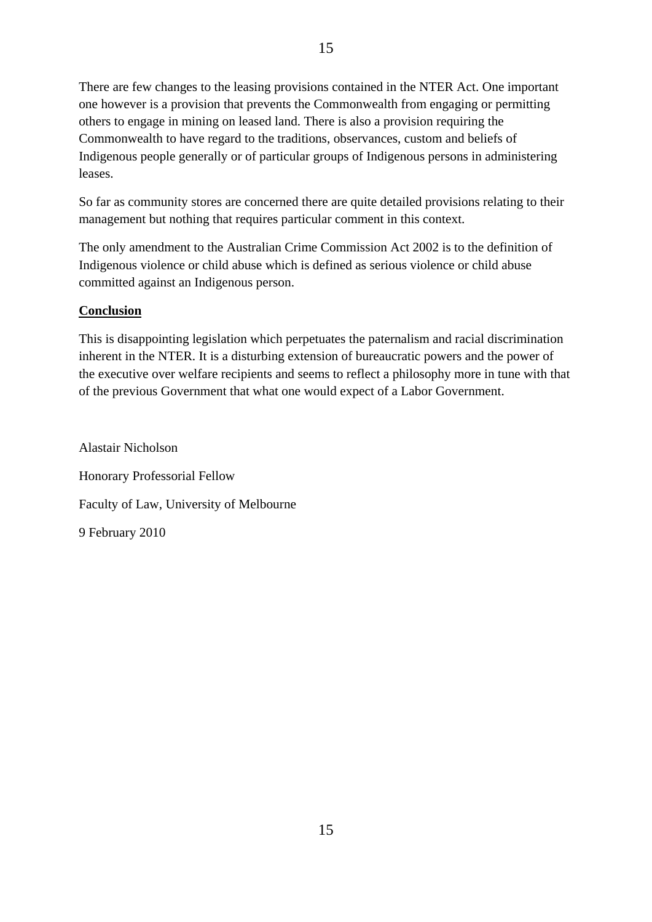There are few changes to the leasing provisions contained in the NTER Act. One important one however is a provision that prevents the Commonwealth from engaging or permitting others to engage in mining on leased land. There is also a provision requiring the Commonwealth to have regard to the traditions, observances, custom and beliefs of Indigenous people generally or of particular groups of Indigenous persons in administering leases.

So far as community stores are concerned there are quite detailed provisions relating to their management but nothing that requires particular comment in this context.

The only amendment to the Australian Crime Commission Act 2002 is to the definition of Indigenous violence or child abuse which is defined as serious violence or child abuse committed against an Indigenous person.

#### **Conclusion**

This is disappointing legislation which perpetuates the paternalism and racial discrimination inherent in the NTER. It is a disturbing extension of bureaucratic powers and the power of the executive over welfare recipients and seems to reflect a philosophy more in tune with that of the previous Government that what one would expect of a Labor Government.

Alastair Nicholson Honorary Professorial Fellow Faculty of Law, University of Melbourne 9 February 2010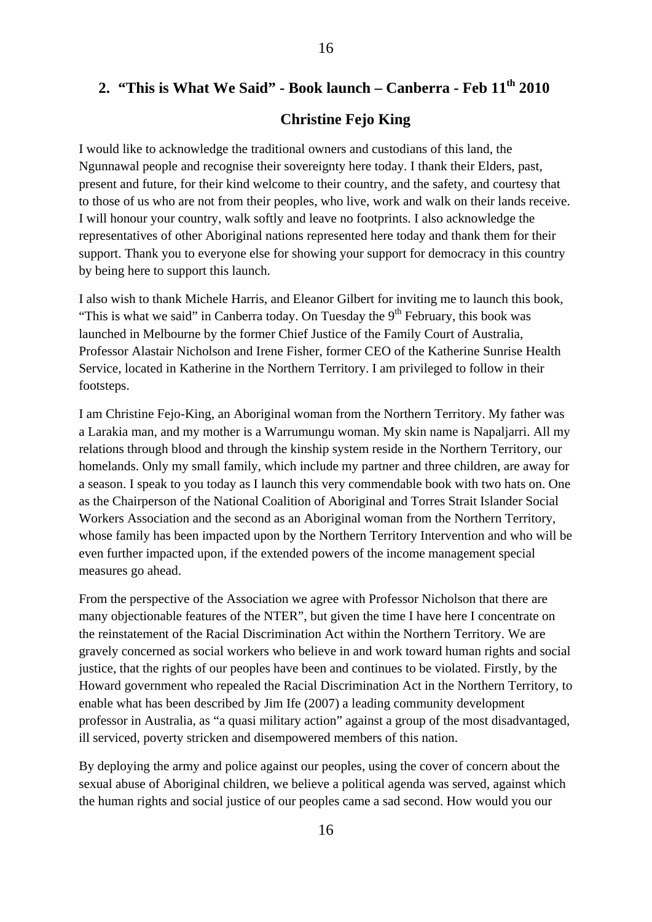# **2. "This is What We Said" - Book launch – Canberra - Feb 11th 2010**

#### **Christine Fejo King**

I would like to acknowledge the traditional owners and custodians of this land, the Ngunnawal people and recognise their sovereignty here today. I thank their Elders, past, present and future, for their kind welcome to their country, and the safety, and courtesy that to those of us who are not from their peoples, who live, work and walk on their lands receive. I will honour your country, walk softly and leave no footprints. I also acknowledge the representatives of other Aboriginal nations represented here today and thank them for their support. Thank you to everyone else for showing your support for democracy in this country by being here to support this launch.

I also wish to thank Michele Harris, and Eleanor Gilbert for inviting me to launch this book, "This is what we said" in Canberra today. On Tuesday the  $9<sup>th</sup>$  February, this book was launched in Melbourne by the former Chief Justice of the Family Court of Australia, Professor Alastair Nicholson and Irene Fisher, former CEO of the Katherine Sunrise Health Service, located in Katherine in the Northern Territory. I am privileged to follow in their footsteps.

I am Christine Fejo-King, an Aboriginal woman from the Northern Territory. My father was a Larakia man, and my mother is a Warrumungu woman. My skin name is Napaljarri. All my relations through blood and through the kinship system reside in the Northern Territory, our homelands. Only my small family, which include my partner and three children, are away for a season. I speak to you today as I launch this very commendable book with two hats on. One as the Chairperson of the National Coalition of Aboriginal and Torres Strait Islander Social Workers Association and the second as an Aboriginal woman from the Northern Territory, whose family has been impacted upon by the Northern Territory Intervention and who will be even further impacted upon, if the extended powers of the income management special measures go ahead.

From the perspective of the Association we agree with Professor Nicholson that there are many objectionable features of the NTER", but given the time I have here I concentrate on the reinstatement of the Racial Discrimination Act within the Northern Territory. We are gravely concerned as social workers who believe in and work toward human rights and social justice, that the rights of our peoples have been and continues to be violated. Firstly, by the Howard government who repealed the Racial Discrimination Act in the Northern Territory, to enable what has been described by Jim Ife (2007) a leading community development professor in Australia, as "a quasi military action" against a group of the most disadvantaged, ill serviced, poverty stricken and disempowered members of this nation.

By deploying the army and police against our peoples, using the cover of concern about the sexual abuse of Aboriginal children, we believe a political agenda was served, against which the human rights and social justice of our peoples came a sad second. How would you our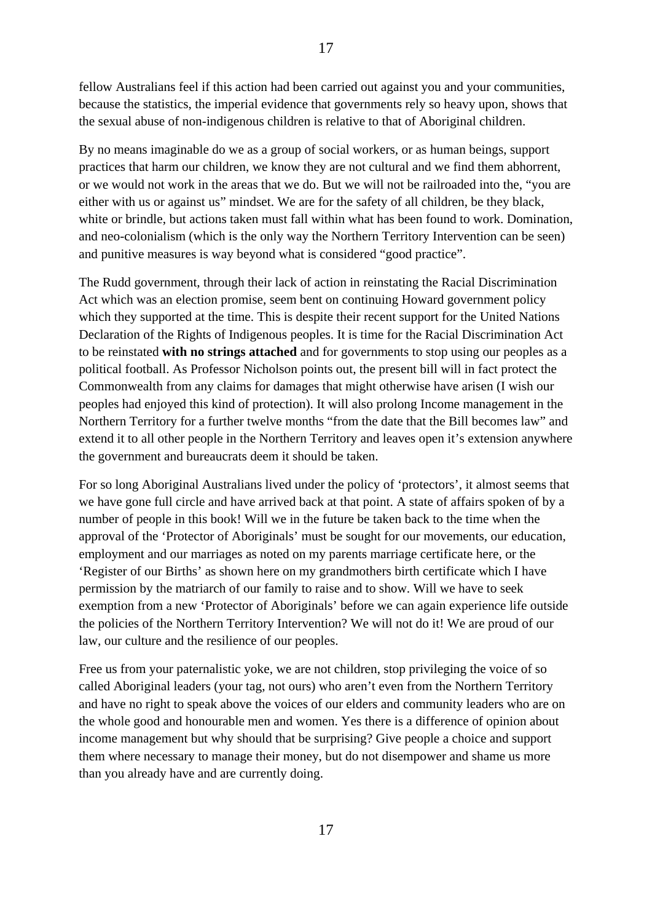fellow Australians feel if this action had been carried out against you and your communities, because the statistics, the imperial evidence that governments rely so heavy upon, shows that the sexual abuse of non-indigenous children is relative to that of Aboriginal children.

By no means imaginable do we as a group of social workers, or as human beings, support practices that harm our children, we know they are not cultural and we find them abhorrent, or we would not work in the areas that we do. But we will not be railroaded into the, "you are either with us or against us" mindset. We are for the safety of all children, be they black, white or brindle, but actions taken must fall within what has been found to work. Domination, and neo-colonialism (which is the only way the Northern Territory Intervention can be seen) and punitive measures is way beyond what is considered "good practice".

The Rudd government, through their lack of action in reinstating the Racial Discrimination Act which was an election promise, seem bent on continuing Howard government policy which they supported at the time. This is despite their recent support for the United Nations Declaration of the Rights of Indigenous peoples. It is time for the Racial Discrimination Act to be reinstated **with no strings attached** and for governments to stop using our peoples as a political football. As Professor Nicholson points out, the present bill will in fact protect the Commonwealth from any claims for damages that might otherwise have arisen (I wish our peoples had enjoyed this kind of protection). It will also prolong Income management in the Northern Territory for a further twelve months "from the date that the Bill becomes law" and extend it to all other people in the Northern Territory and leaves open it's extension anywhere the government and bureaucrats deem it should be taken.

For so long Aboriginal Australians lived under the policy of 'protectors', it almost seems that we have gone full circle and have arrived back at that point. A state of affairs spoken of by a number of people in this book! Will we in the future be taken back to the time when the approval of the 'Protector of Aboriginals' must be sought for our movements, our education, employment and our marriages as noted on my parents marriage certificate here, or the 'Register of our Births' as shown here on my grandmothers birth certificate which I have permission by the matriarch of our family to raise and to show. Will we have to seek exemption from a new 'Protector of Aboriginals' before we can again experience life outside the policies of the Northern Territory Intervention? We will not do it! We are proud of our law, our culture and the resilience of our peoples.

Free us from your paternalistic yoke, we are not children, stop privileging the voice of so called Aboriginal leaders (your tag, not ours) who aren't even from the Northern Territory and have no right to speak above the voices of our elders and community leaders who are on the whole good and honourable men and women. Yes there is a difference of opinion about income management but why should that be surprising? Give people a choice and support them where necessary to manage their money, but do not disempower and shame us more than you already have and are currently doing.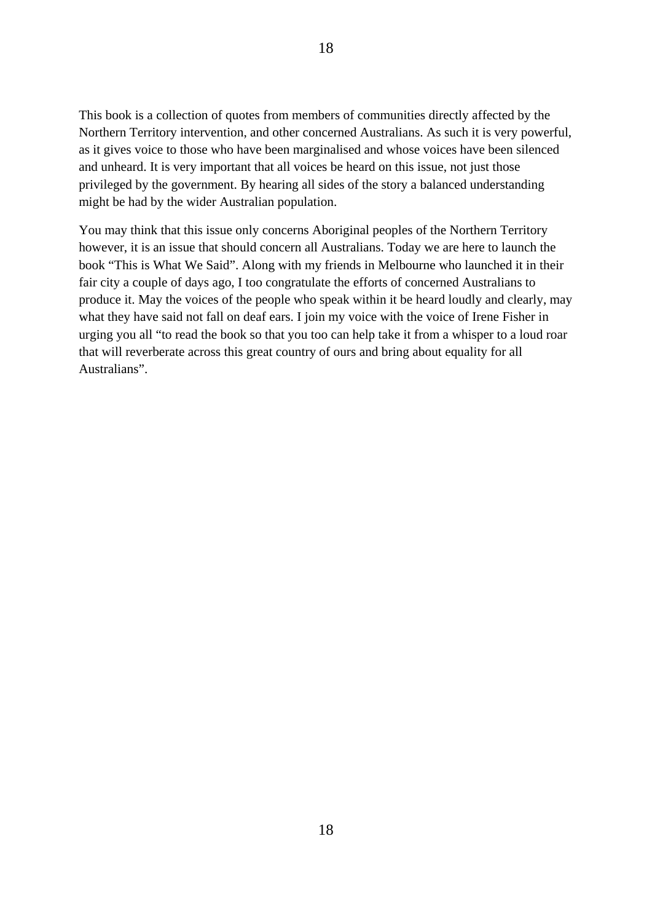This book is a collection of quotes from members of communities directly affected by the Northern Territory intervention, and other concerned Australians. As such it is very powerful, as it gives voice to those who have been marginalised and whose voices have been silenced and unheard. It is very important that all voices be heard on this issue, not just those privileged by the government. By hearing all sides of the story a balanced understanding might be had by the wider Australian population.

You may think that this issue only concerns Aboriginal peoples of the Northern Territory however, it is an issue that should concern all Australians. Today we are here to launch the book "This is What We Said". Along with my friends in Melbourne who launched it in their fair city a couple of days ago, I too congratulate the efforts of concerned Australians to produce it. May the voices of the people who speak within it be heard loudly and clearly, may what they have said not fall on deaf ears. I join my voice with the voice of Irene Fisher in urging you all "to read the book so that you too can help take it from a whisper to a loud roar that will reverberate across this great country of ours and bring about equality for all Australians".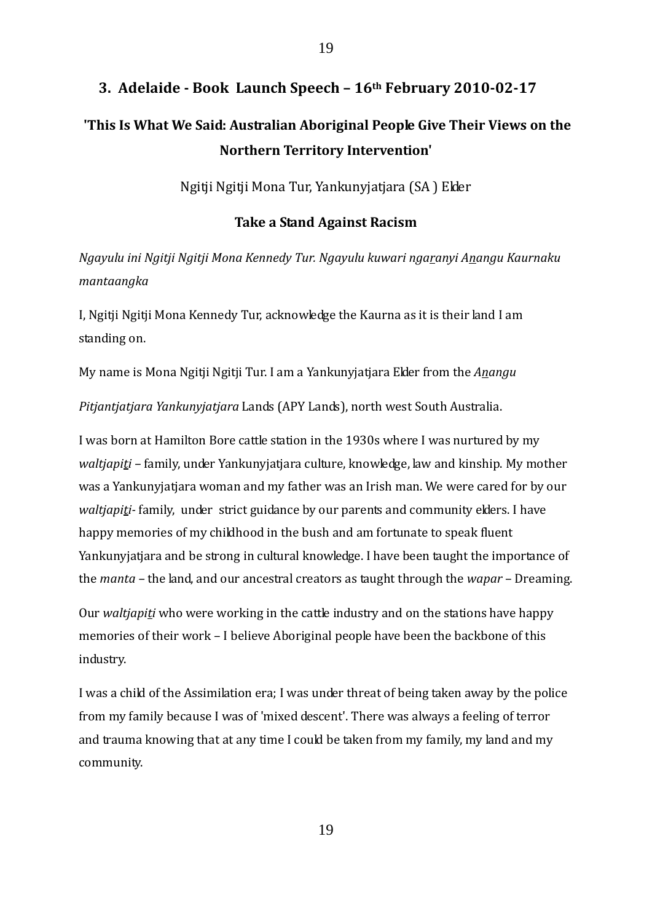# **3. Adelaide Book Launch Speech – 16th February 20100217 'This Is What We Said: Australian Aboriginal People Give Their Views on the Northern Territory Intervention'**

Ngitji Ngitji Mona Tur, Yankunyjatjara (SA ) Elder

#### **Take a Stand Against Racism**

*Ngayulu ini Ngitji Ngitji Mona Kennedy Tur. Ngayulu kuwari ngaranyi Anangu Kaurnaku mantaangka*

I, Ngitji Ngitji Mona Kennedy Tur, acknowledge the Kaurna as it is their land I am standing on.

My name is Mona Ngitji Ngitji Tur. I am a Yankunyjatjara Elder from the *Anangu*

*Pitjantjatjara Yankunyjatjara* Lands (APY Lands), north west South Australia.

I was born at Hamilton Bore cattle station in the 1930s where I was nurtured by my *waltjapiti –* family, under Yankunyjatjara culture, knowledge, law and kinship. My mother was a Yankunyjatjara woman and my father was an Irish man. We were cared for by our *waltjapiti* family, under strict guidance by our parents and community elders. I have happy memories of my childhood in the bush and am fortunate to speak fluent Yankunyjatjara and be strong in cultural knowledge. I have been taught the importance of the *manta –* the land, and our ancestral creators as taught through the *wapar* – Dreaming.

Our *waltjapiti* who were working in the cattle industry and on the stations have happy memories of their work – I believe Aboriginal people have been the backbone of this industry.

I was a child of the Assimilation era; I was under threat of being taken away by the police from my family because I was of 'mixed descent'. There was always a feeling of terror and trauma knowing that at any time I could be taken from my family, my land and my community.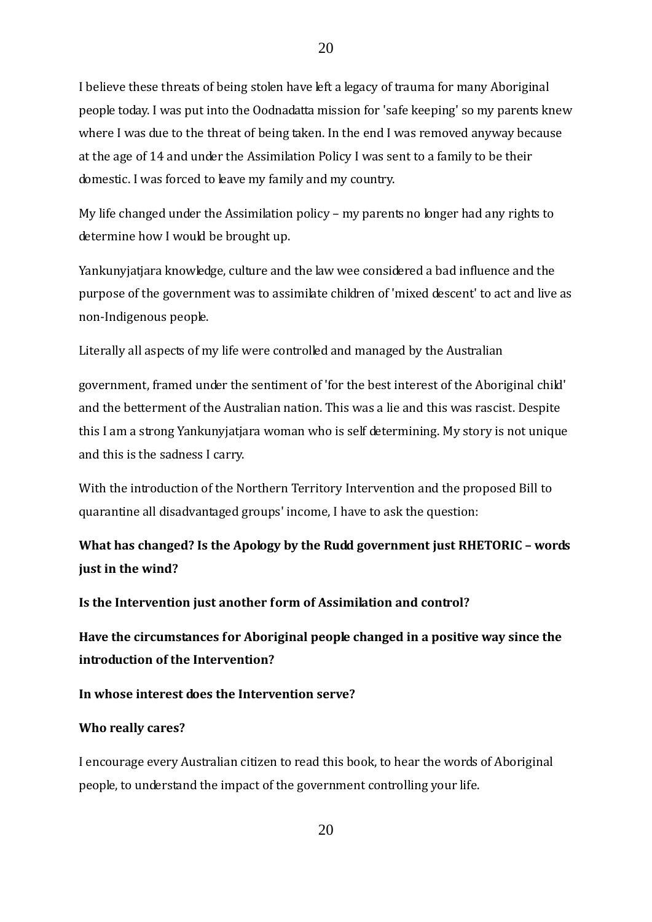I believe these threats of being stolen have left a legacy of trauma for many Aboriginal people today. I was put into the Oodnadatta mission for 'safe keeping' so my parents knew where I was due to the threat of being taken. In the end I was removed anyway because at the age of 14 and under the Assimilation Policy I was sent to a family to be their domestic. I was forced to leave my family and my country.

My life changed under the Assimilation policy – my parents no longer had any rights to determine how I would be brought up.

Yankunyjatjara knowledge, culture and the law wee considered a bad influence and the purpose of the government was to assimilate children of 'mixed descent' to act and live as non‐Indigenous people.

Literally all aspects of my life were controlled and managed by the Australian

government, framed under the sentiment of 'for the best interest of the Aboriginal child' and the betterment of the Australian nation. This was a lie and this was rascist. Despite this I am a strong Yankunyjatjara woman who is self determining. My story is not unique and this is the sadness I carry.

With the introduction of the Northern Territory Intervention and the proposed Bill to quarantine all disadvantaged groups' income, I have to ask the question:

**What has changed? Is the Apology by the Rudd government just RHETORIC – words just in the wind?**

**Is the Intervention just another form of Assimilation and control?**

**Have the circumstances for Aboriginal people changed in a positive way since the introduction of the Intervention?**

**In whose interest does the Intervention serve?**

#### **Who really cares?**

I encourage every Australian citizen to read this book, to hear the words of Aboriginal people, to understand the impact of the government controlling your life.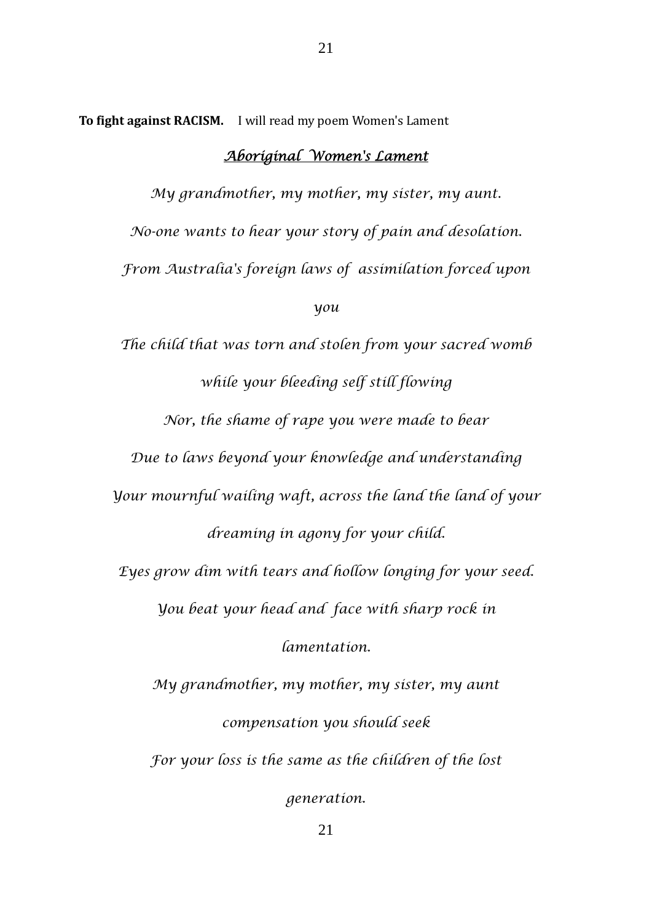**To fight against RACISM.** I will read my poem Women's Lament

## *Aboriginal Women's Lament*

*My grandmother, my mother, my sister, my aunt. No-one wants to hear your story of pain and desolation. From Australia's foreign laws of assimilation forced upon you The child that was torn and stolen from your sacred womb while your bleeding self still flowing Nor, the shame of rape you were made to bear Due to laws beyond your knowledge and understanding Your mournful wailing waft, across the land the land of your dreaming in agony for your child. Eyes grow dim with tears and hollow longing for your seed. You beat your head and face with sharp rock in lamentation. My grandmother, my mother, my sister, my aunt compensation you should seek For your loss is the same as the children of the lost generation.*